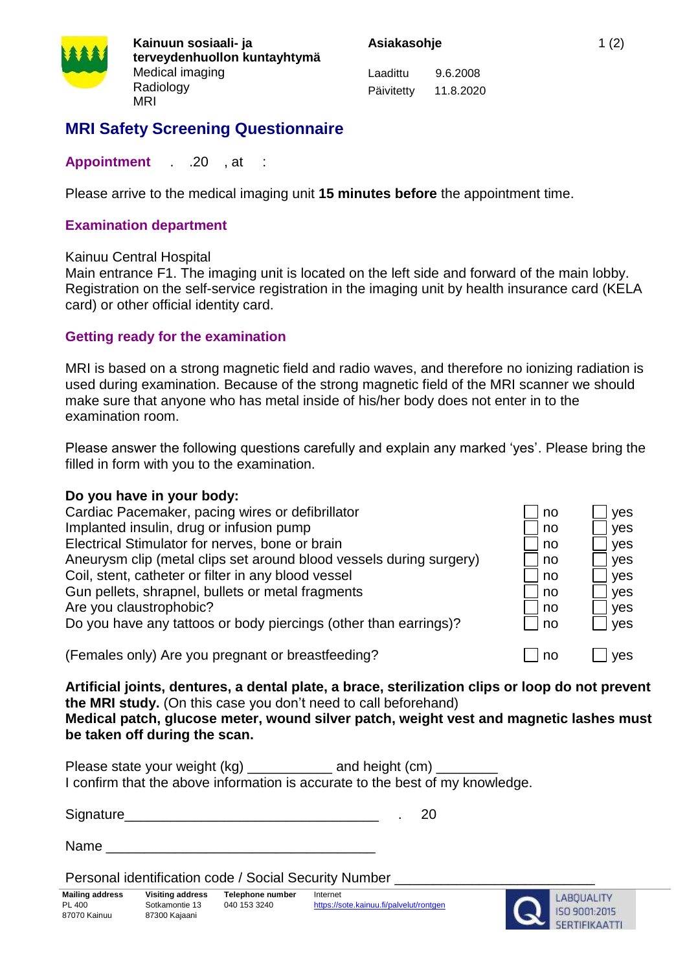

**Kainuun sosiaali- ja terveydenhuollon kuntayhtymä** Medical imaging Radiology MRI

Laadittu 9.6.2008 Päivitetty 11.8.2020

# **MRI Safety Screening Questionnaire**

### **Appointment** . .20 , at :

Please arrive to the medical imaging unit **15 minutes before** the appointment time.

#### **Examination department**

#### Kainuu Central Hospital

Main entrance F1. The imaging unit is located on the left side and forward of the main lobby. Registration on the self-service registration in the imaging unit by health insurance card (KELA card) or other official identity card.

# **Getting ready for the examination**

MRI is based on a strong magnetic field and radio waves, and therefore no ionizing radiation is used during examination. Because of the strong magnetic field of the MRI scanner we should make sure that anyone who has metal inside of his/her body does not enter in to the examination room.

Please answer the following questions carefully and explain any marked 'yes'. Please bring the filled in form with you to the examination.

#### **Do you have in your body:**

| Cardiac Pacemaker, pacing wires or defibrillator                    | no  | yes |
|---------------------------------------------------------------------|-----|-----|
| Implanted insulin, drug or infusion pump                            | no  | yes |
| Electrical Stimulator for nerves, bone or brain                     | no  | yes |
| Aneurysm clip (metal clips set around blood vessels during surgery) | no  | yes |
| Coil, stent, catheter or filter in any blood vessel                 | no  | yes |
| Gun pellets, shrapnel, bullets or metal fragments                   | no  | yes |
| Are you claustrophobic?                                             | no  | yes |
| Do you have any tattoos or body piercings (other than earrings)?    | ∣no | yes |
| (Females only) Are you pregnant or breastfeeding?                   | no  | ves |

**Artificial joints, dentures, a dental plate, a brace, sterilization clips or loop do not prevent the MRI study.** (On this case you don't need to call beforehand)

**Medical patch, glucose meter, wound silver patch, weight vest and magnetic lashes must be taken off during the scan.**

Please state your weight (kg) \_\_\_\_\_\_\_\_\_\_\_ and height (cm) I confirm that the above information is accurate to the best of my knowledge.

Signature the contract of the set of the set of the set of the set of the set of the set of the set of the set of the set of the set of the set of the set of the set of the set of the set of the set of the set of the set o

Name \_\_\_\_\_\_\_\_\_\_\_\_\_\_\_\_\_\_\_\_\_\_\_\_\_\_\_\_\_\_\_\_\_\_\_

Personal identification code / Social Security Number